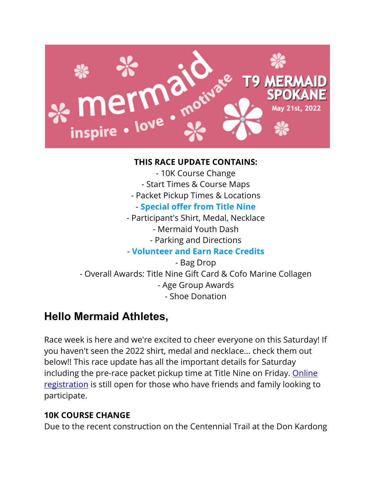

- 10K Course Change - Start Times & Course Maps - Packet Pickup Times & Locations - **Special offer from Title Nine** - Participant's Shirt, Medal, Necklace - Mermaid Youth Dash - Parking and Directions - **Volunteer and Earn Race Credits** - Bag Drop - Overall Awards: Title Nine Gift Card & Cofo Marine Collagen - Age Group Awards - Shoe Donation

# **Hello Mermaid Athletes,**

Race week is here and we're excited to cheer everyone on this Saturday! If you haven't seen the 2022 shirt, medal and necklace... check them out below!! This race update has all the important details for Saturday including the pre-race packet pickup time at Title Nine on Friday. Online registration is still open for those who have friends and family looking to participate.

#### **10K COURSE CHANGE**

Due to the recent construction on the Centennial Trail at the Don Kardong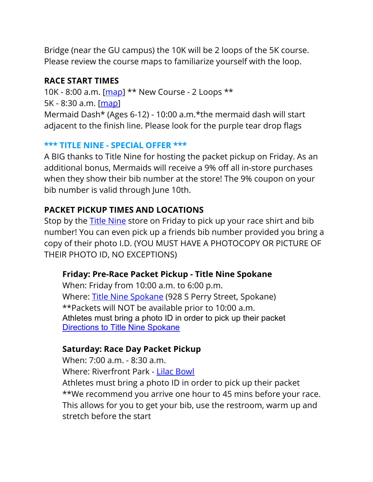Bridge (near the GU campus) the 10K will be 2 loops of the 5K course. Please review the course maps to familiarize yourself with the loop.

#### **RACE START TIMES**

10K - 8:00 a.m. [map] \*\* New Course - 2 Loops \*\* 5K - 8:30 a.m. [map] Mermaid Dash\* (Ages 6-12) - 10:00 a.m.\*the mermaid dash will start adjacent to the finish line. Please look for the purple tear drop flags

#### **\*\*\* TITLE NINE - SPECIAL OFFER \*\*\***

A BIG thanks to Title Nine for hosting the packet pickup on Friday. As an additional bonus, Mermaids will receive a 9% off all in-store purchases when they show their bib number at the store! The 9% coupon on your bib number is valid through June 10th.

## **PACKET PICKUP TIMES AND LOCATIONS**

Stop by the Title Nine store on Friday to pick up your race shirt and bib number! You can even pick up a friends bib number provided you bring a copy of their photo I.D. (YOU MUST HAVE A PHOTOCOPY OR PICTURE OF THEIR PHOTO ID, NO EXCEPTIONS)

## **Friday: Pre-Race Packet Pickup - Title Nine Spokane**

When: Friday from 10:00 a.m. to 6:00 p.m. Where: Title Nine Spokane (928 S Perry Street, Spokane) \*\*Packets will NOT be available prior to 10:00 a.m. Athletes must bring a photo ID in order to pick up their packet **Directions to Title Nine Spokane** 

## **Saturday: Race Day Packet Pickup**

When: 7:00 a.m. - 8:30 a.m. Where: Riverfront Park - Lilac Bowl Athletes must bring a photo ID in order to pick up their packet \*\*We recommend you arrive one hour to 45 mins before your race. This allows for you to get your bib, use the restroom, warm up and stretch before the start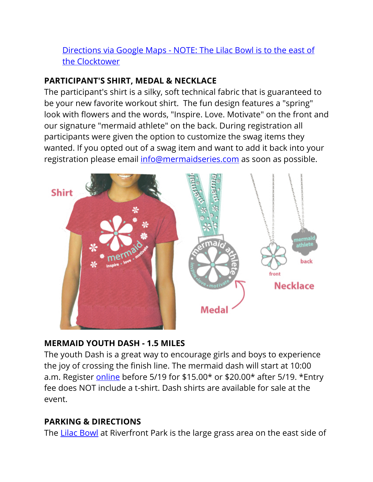## Directions via Google Maps - NOTE: The Lilac Bowl is to the east of the Clocktower

## **PARTICIPANT'S SHIRT, MEDAL & NECKLACE**

The participant's shirt is a silky, soft technical fabric that is guaranteed to be your new favorite workout shirt. The fun design features a "spring" look with flowers and the words, "Inspire. Love. Motivate" on the front and our signature "mermaid athlete" on the back. During registration all participants were given the option to customize the swag items they wanted. If you opted out of a swag item and want to add it back into your registration please email info@mermaidseries.com as soon as possible.



#### **MERMAID YOUTH DASH - 1.5 MILES**

The youth Dash is a great way to encourage girls and boys to experience the joy of crossing the finish line. The mermaid dash will start at 10:00 a.m. Register online before 5/19 for \$15.00\* or \$20.00\* after 5/19. \*Entry fee does NOT include a t-shirt. Dash shirts are available for sale at the event.

## **PARKING & DIRECTIONS**

The Lilac Bowl at Riverfront Park is the large grass area on the east side of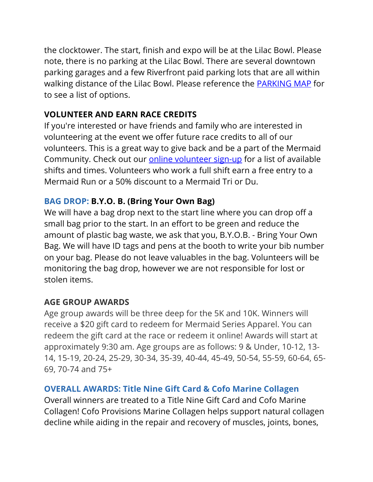the clocktower. The start, finish and expo will be at the Lilac Bowl. Please note, there is no parking at the Lilac Bowl. There are several downtown parking garages and a few Riverfront paid parking lots that are all within walking distance of the Lilac Bowl. Please reference the **PARKING MAP** for to see a list of options.

## **VOLUNTEER AND EARN RACE CREDITS**

If you're interested or have friends and family who are interested in volunteering at the event we offer future race credits to all of our volunteers. This is a great way to give back and be a part of the Mermaid Community. Check out our online volunteer sign-up for a list of available shifts and times. Volunteers who work a full shift earn a free entry to a Mermaid Run or a 50% discount to a Mermaid Tri or Du.

## **BAG DROP: B.Y.O. B. (Bring Your Own Bag)**

We will have a bag drop next to the start line where you can drop off a small bag prior to the start. In an effort to be green and reduce the amount of plastic bag waste, we ask that you, B.Y.O.B. - Bring Your Own Bag. We will have ID tags and pens at the booth to write your bib number on your bag. Please do not leave valuables in the bag. Volunteers will be monitoring the bag drop, however we are not responsible for lost or stolen items.

#### **AGE GROUP AWARDS**

Age group awards will be three deep for the 5K and 10K. Winners will receive a \$20 gift card to redeem for Mermaid Series Apparel. You can redeem the gift card at the race or redeem it online! Awards will start at approximately 9:30 am. Age groups are as follows: 9 & Under, 10-12, 13- 14, 15-19, 20-24, 25-29, 30-34, 35-39, 40-44, 45-49, 50-54, 55-59, 60-64, 65- 69, 70-74 and 75+

## **OVERALL AWARDS: Title Nine Gift Card & Cofo Marine Collagen**

Overall winners are treated to a Title Nine Gift Card and Cofo Marine Collagen! Cofo Provisions Marine Collagen helps support natural collagen decline while aiding in the repair and recovery of muscles, joints, bones,